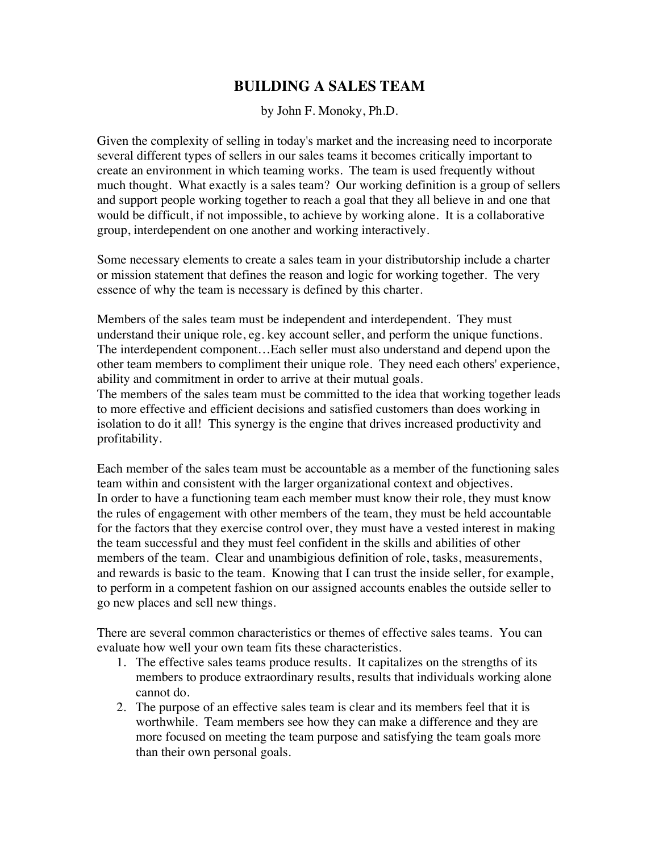# **BUILDING A SALES TEAM**

by John F. Monoky, Ph.D.

Given the complexity of selling in today's market and the increasing need to incorporate several different types of sellers in our sales teams it becomes critically important to create an environment in which teaming works. The team is used frequently without much thought. What exactly is a sales team? Our working definition is a group of sellers and support people working together to reach a goal that they all believe in and one that would be difficult, if not impossible, to achieve by working alone. It is a collaborative group, interdependent on one another and working interactively.

Some necessary elements to create a sales team in your distributorship include a charter or mission statement that defines the reason and logic for working together. The very essence of why the team is necessary is defined by this charter.

Members of the sales team must be independent and interdependent. They must understand their unique role, eg. key account seller, and perform the unique functions. The interdependent component…Each seller must also understand and depend upon the other team members to compliment their unique role. They need each others' experience, ability and commitment in order to arrive at their mutual goals.

The members of the sales team must be committed to the idea that working together leads to more effective and efficient decisions and satisfied customers than does working in isolation to do it all! This synergy is the engine that drives increased productivity and profitability.

Each member of the sales team must be accountable as a member of the functioning sales team within and consistent with the larger organizational context and objectives. In order to have a functioning team each member must know their role, they must know the rules of engagement with other members of the team, they must be held accountable for the factors that they exercise control over, they must have a vested interest in making the team successful and they must feel confident in the skills and abilities of other members of the team. Clear and unambigious definition of role, tasks, measurements, and rewards is basic to the team. Knowing that I can trust the inside seller, for example, to perform in a competent fashion on our assigned accounts enables the outside seller to go new places and sell new things.

There are several common characteristics or themes of effective sales teams. You can evaluate how well your own team fits these characteristics.

- 1. The effective sales teams produce results. It capitalizes on the strengths of its members to produce extraordinary results, results that individuals working alone cannot do.
- 2. The purpose of an effective sales team is clear and its members feel that it is worthwhile. Team members see how they can make a difference and they are more focused on meeting the team purpose and satisfying the team goals more than their own personal goals.